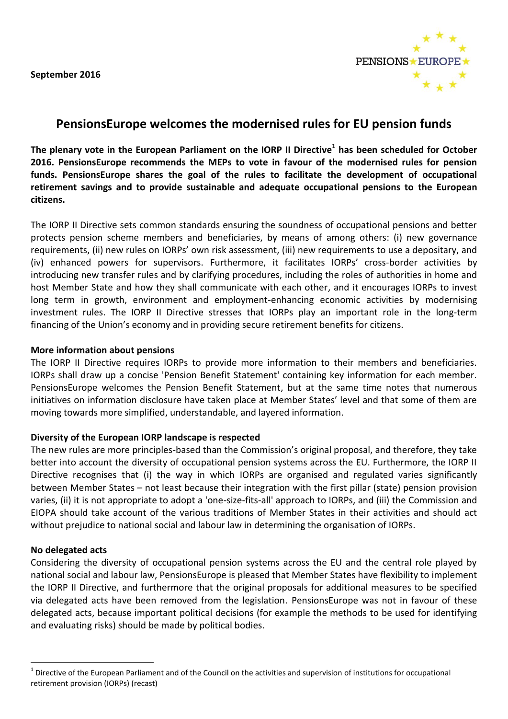**September 2016**



# **PensionsEurope welcomes the modernised rules for EU pension funds**

**The plenary vote in the European Parliament on the IORP II Directive<sup>1</sup> has been scheduled for October 2016. PensionsEurope recommends the MEPs to vote in favour of the modernised rules for pension funds. PensionsEurope shares the goal of the rules to facilitate the development of occupational retirement savings and to provide sustainable and adequate occupational pensions to the European citizens.**

The IORP II Directive sets common standards ensuring the soundness of occupational pensions and better protects pension scheme members and beneficiaries, by means of among others: (i) new governance requirements, (ii) new rules on IORPs' own risk assessment, (iii) new requirements to use a depositary, and (iv) enhanced powers for supervisors. Furthermore, it facilitates IORPs' cross-border activities by introducing new transfer rules and by clarifying procedures, including the roles of authorities in home and host Member State and how they shall communicate with each other, and it encourages IORPs to invest long term in growth, environment and employment-enhancing economic activities by modernising investment rules. The IORP II Directive stresses that IORPs play an important role in the long-term financing of the Union's economy and in providing secure retirement benefits for citizens.

## **More information about pensions**

The IORP II Directive requires IORPs to provide more information to their members and beneficiaries. IORPs shall draw up a concise 'Pension Benefit Statement' containing key information for each member. PensionsEurope welcomes the Pension Benefit Statement, but at the same time notes that numerous initiatives on information disclosure have taken place at Member States' level and that some of them are moving towards more simplified, understandable, and layered information.

## **Diversity of the European IORP landscape is respected**

The new rules are more principles-based than the Commission's original proposal, and therefore, they take better into account the diversity of occupational pension systems across the EU. Furthermore, the IORP II Directive recognises that (i) the way in which IORPs are organised and regulated varies significantly between Member States – not least because their integration with the first pillar (state) pension provision varies, (ii) it is not appropriate to adopt a 'one-size-fits-all' approach to IORPs, and (iii) the Commission and EIOPA should take account of the various traditions of Member States in their activities and should act without prejudice to national social and labour law in determining the organisation of IORPs.

## **No delegated acts**

1

Considering the diversity of occupational pension systems across the EU and the central role played by national social and labour law, PensionsEurope is pleased that Member States have flexibility to implement the IORP II Directive, and furthermore that the original proposals for additional measures to be specified via delegated acts have been removed from the legislation. PensionsEurope was not in favour of these delegated acts, because important political decisions (for example the methods to be used for identifying and evaluating risks) should be made by political bodies.

<sup>1</sup> Directive of the European Parliament and of the Council on the activities and supervision of institutions for occupational retirement provision (IORPs) (recast)